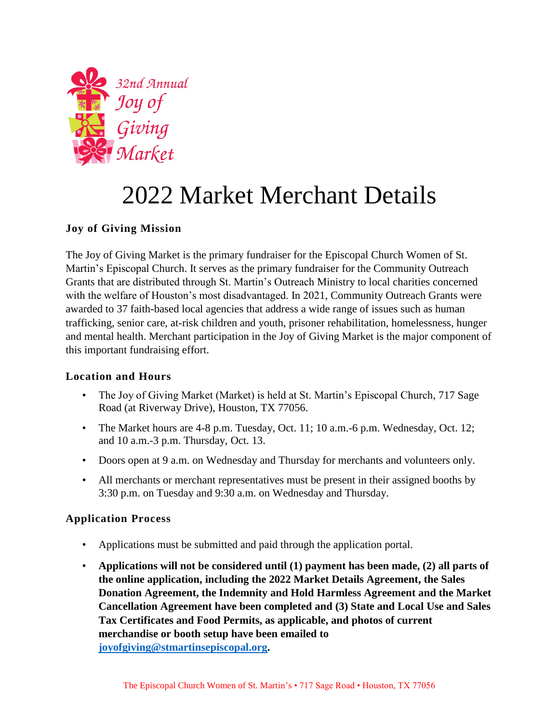

# 2022 Market Merchant Details

# **Joy of Giving Mission**

The Joy of Giving Market is the primary fundraiser for the Episcopal Church Women of St. Martin's Episcopal Church. It serves as the primary fundraiser for the Community Outreach Grants that are distributed through St. Martin's Outreach Ministry to local charities concerned with the welfare of Houston's most disadvantaged. In 2021, Community Outreach Grants were awarded to 37 faith-based local agencies that address a wide range of issues such as human trafficking, senior care, at-risk children and youth, prisoner rehabilitation, homelessness, hunger and mental health. Merchant participation in the Joy of Giving Market is the major component of this important fundraising effort.

#### **Location and Hours**

- The Joy of Giving Market (Market) is held at St. Martin's Episcopal Church, 717 Sage Road (at Riverway Drive), Houston, TX 77056.
- The Market hours are 4-8 p.m. Tuesday, Oct. 11; 10 a.m. -6 p.m. Wednesday, Oct. 12; and 10 a.m.-3 p.m. Thursday, Oct. 13.
- Doors open at 9 a.m. on Wednesday and Thursday for merchants and volunteers only.
- All merchants or merchant representatives must be present in their assigned booths by 3:30 p.m. on Tuesday and 9:30 a.m. on Wednesday and Thursday.

# **Application Process**

- Applications must be submitted and paid through the application portal.
- **Applications will not be considered until (1) payment has been made, (2) all parts of the online application, including the 2022 Market Details Agreement, the Sales Donation Agreement, the Indemnity and Hold Harmless Agreement and the Market Cancellation Agreement have been completed and (3) State and Local Use and Sales Tax Certificates and Food Permits, as applicable, and photos of current merchandise or booth setup have been emailed to [joyofgiving@stmartinsepiscopal.org.](mailto:joyofgiving@stmartinsepiscopal.org)**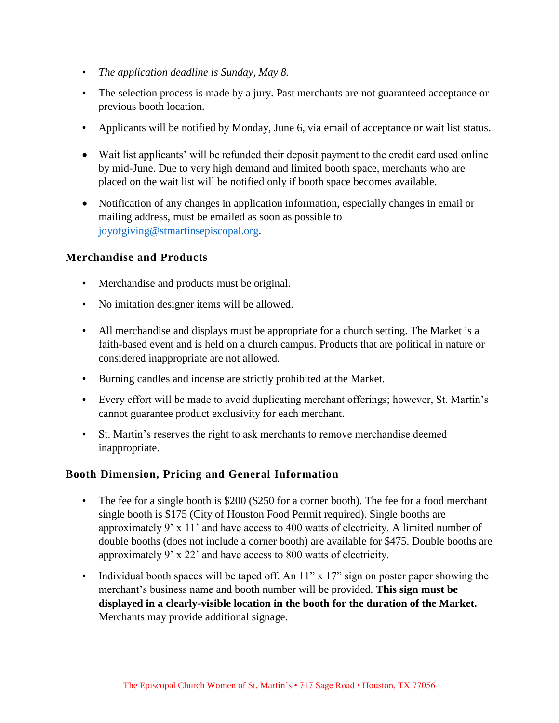- *The application deadline is Sunday, May 8.*
- The selection process is made by a jury. Past merchants are not guaranteed acceptance or previous booth location.
- Applicants will be notified by Monday, June 6, via email of acceptance or wait list status.
- Wait list applicants' will be refunded their deposit payment to the credit card used online by mid-June. Due to very high demand and limited booth space, merchants who are placed on the wait list will be notified only if booth space becomes available.
- Notification of any changes in application information, especially changes in email or mailing address, must be emailed as soon as possible to [joyofgiving@stmartinsepiscopal.org.](mailto:joyofgiving@stmartinsepiscopal.org)

#### **Merchandise and Products**

- Merchandise and products must be original.
- No imitation designer items will be allowed.
- All merchandise and displays must be appropriate for a church setting. The Market is a faith-based event and is held on a church campus. Products that are political in nature or considered inappropriate are not allowed.
- Burning candles and incense are strictly prohibited at the Market.
- Every effort will be made to avoid duplicating merchant offerings; however, St. Martin's cannot guarantee product exclusivity for each merchant.
- St. Martin's reserves the right to ask merchants to remove merchandise deemed inappropriate.

#### **Booth Dimension, Pricing and General Information**

- The fee for a single booth is \$200 (\$250 for a corner booth). The fee for a food merchant single booth is \$175 (City of Houston Food Permit required). Single booths are approximately 9' x 11' and have access to 400 watts of electricity. A limited number of double booths (does not include a corner booth) are available for \$475. Double booths are approximately 9' x 22' and have access to 800 watts of electricity.
- Individual booth spaces will be taped off. An  $11''$  x  $17''$  sign on poster paper showing the merchant's business name and booth number will be provided. **This sign must be displayed in a clearly-visible location in the booth for the duration of the Market.** Merchants may provide additional signage.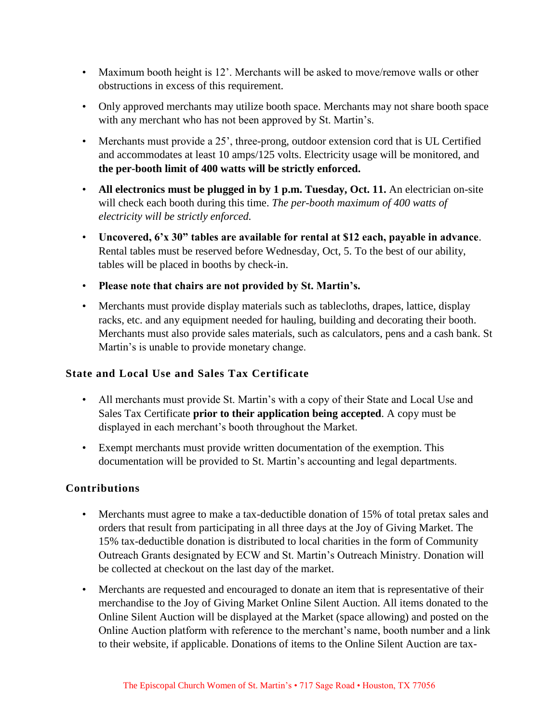- Maximum booth height is 12'. Merchants will be asked to move/remove walls or other obstructions in excess of this requirement.
- Only approved merchants may utilize booth space. Merchants may not share booth space with any merchant who has not been approved by St. Martin's.
- Merchants must provide a 25', three-prong, outdoor extension cord that is UL Certified and accommodates at least 10 amps/125 volts. Electricity usage will be monitored, and **the per-booth limit of 400 watts will be strictly enforced.**
- **All electronics must be plugged in by 1 p.m. Tuesday, Oct. 11.** An electrician on-site will check each booth during this time. *The per-booth maximum of 400 watts of electricity will be strictly enforced.*
- **Uncovered, 6'x 30" tables are available for rental at \$12 each, payable in advance**. Rental tables must be reserved before Wednesday, Oct, 5. To the best of our ability, tables will be placed in booths by check-in.
- **Please note that chairs are not provided by St. Martin's.**
- Merchants must provide display materials such as tablecloths, drapes, lattice, display racks, etc. and any equipment needed for hauling, building and decorating their booth. Merchants must also provide sales materials, such as calculators, pens and a cash bank. St Martin's is unable to provide monetary change.

# **State and Local Use and Sales Tax Certificate**

- All merchants must provide St. Martin's with a copy of their State and Local Use and Sales Tax Certificate **prior to their application being accepted**. A copy must be displayed in each merchant's booth throughout the Market.
- Exempt merchants must provide written documentation of the exemption. This documentation will be provided to St. Martin's accounting and legal departments.

# **Contributions**

- Merchants must agree to make a tax-deductible donation of 15% of total pretax sales and orders that result from participating in all three days at the Joy of Giving Market. The 15% tax-deductible donation is distributed to local charities in the form of Community Outreach Grants designated by ECW and St. Martin's Outreach Ministry. Donation will be collected at checkout on the last day of the market.
- Merchants are requested and encouraged to donate an item that is representative of their merchandise to the Joy of Giving Market Online Silent Auction. All items donated to the Online Silent Auction will be displayed at the Market (space allowing) and posted on the Online Auction platform with reference to the merchant's name, booth number and a link to their website, if applicable. Donations of items to the Online Silent Auction are tax-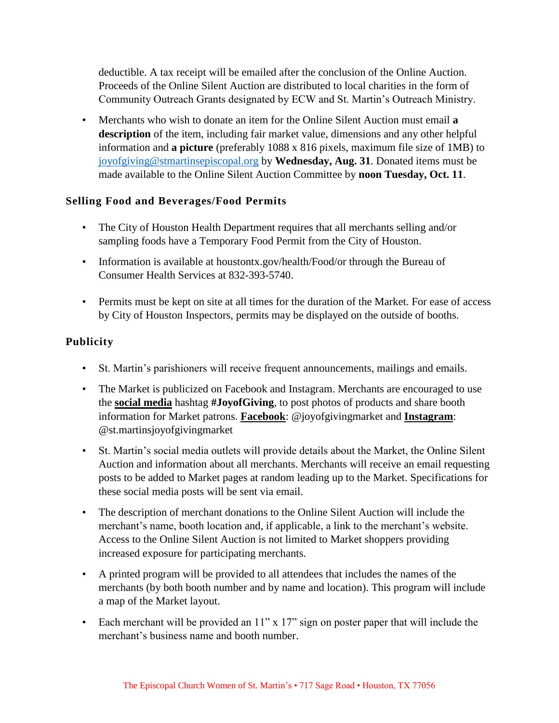deductible. A tax receipt will be emailed after the conclusion of the Online Auction. Proceeds of the Online Silent Auction are distributed to local charities in the form of Community Outreach Grants designated by ECW and St. Martin's Outreach Ministry.

• Merchants who wish to donate an item for the Online Silent Auction must email **a description** of the item, including fair market value, dimensions and any other helpful information and **a picture** (preferably 1088 x 816 pixels, maximum file size of 1MB) to [joyofgiving@stmartinsepiscopal.org](mailto:joyofgiving@stmartinsepiscopal.org) by **Wednesday, Aug. 31**. Donated items must be made available to the Online Silent Auction Committee by **noon Tuesday, Oct. 11**.

#### **Selling Food and Beverages/Food Permits**

- The City of Houston Health Department requires that all merchants selling and/or sampling foods have a Temporary Food Permit from the City of Houston.
- Information is available at houstontx.gov/health/Food/or through the Bureau of Consumer Health Services at 832-393-5740.
- Permits must be kept on site at all times for the duration of the Market. For ease of access by City of Houston Inspectors, permits may be displayed on the outside of booths.

## **Publicity**

- St. Martin's parishioners will receive frequent announcements, mailings and emails.
- The Market is publicized on Facebook and Instagram. Merchants are encouraged to use the **social media** hashtag **#JoyofGiving**, to post photos of products and share booth information for Market patrons. **Facebook**: @joyofgivingmarket and **Instagram**: @st.martinsjoyofgivingmarket
- St. Martin's social media outlets will provide details about the Market, the Online Silent Auction and information about all merchants. Merchants will receive an email requesting posts to be added to Market pages at random leading up to the Market. Specifications for these social media posts will be sent via email.
- The description of merchant donations to the Online Silent Auction will include the merchant's name, booth location and, if applicable, a link to the merchant's website. Access to the Online Silent Auction is not limited to Market shoppers providing increased exposure for participating merchants.
- A printed program will be provided to all attendees that includes the names of the merchants (by both booth number and by name and location). This program will include a map of the Market layout.
- Each merchant will be provided an 11" x 17" sign on poster paper that will include the merchant's business name and booth number.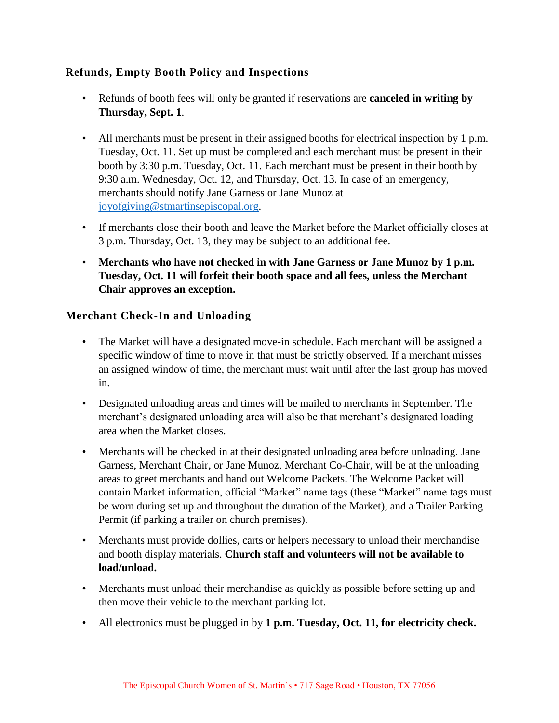## **Refunds, Empty Booth Policy and Inspections**

- Refunds of booth fees will only be granted if reservations are **canceled in writing by Thursday, Sept. 1**.
- All merchants must be present in their assigned booths for electrical inspection by 1 p.m. Tuesday, Oct. 11. Set up must be completed and each merchant must be present in their booth by 3:30 p.m. Tuesday, Oct. 11. Each merchant must be present in their booth by 9:30 a.m. Wednesday, Oct. 12, and Thursday, Oct. 13. In case of an emergency, merchants should notify Jane Garness or Jane Munoz at [joyofgiving@stmartinsepiscopal.org.](mailto:joyofgiving@stmartinsepiscopal.org)
- If merchants close their booth and leave the Market before the Market officially closes at 3 p.m. Thursday, Oct. 13, they may be subject to an additional fee.
- **Merchants who have not checked in with Jane Garness or Jane Munoz by 1 p.m. Tuesday, Oct. 11 will forfeit their booth space and all fees, unless the Merchant Chair approves an exception.**

#### **Merchant Check-In and Unloading**

- The Market will have a designated move-in schedule. Each merchant will be assigned a specific window of time to move in that must be strictly observed. If a merchant misses an assigned window of time, the merchant must wait until after the last group has moved in.
- Designated unloading areas and times will be mailed to merchants in September. The merchant's designated unloading area will also be that merchant's designated loading area when the Market closes.
- Merchants will be checked in at their designated unloading area before unloading. Jane Garness, Merchant Chair, or Jane Munoz, Merchant Co-Chair, will be at the unloading areas to greet merchants and hand out Welcome Packets. The Welcome Packet will contain Market information, official "Market" name tags (these "Market" name tags must be worn during set up and throughout the duration of the Market), and a Trailer Parking Permit (if parking a trailer on church premises).
- Merchants must provide dollies, carts or helpers necessary to unload their merchandise and booth display materials. **Church staff and volunteers will not be available to load/unload.**
- Merchants must unload their merchandise as quickly as possible before setting up and then move their vehicle to the merchant parking lot.
- All electronics must be plugged in by **1 p.m. Tuesday, Oct. 11, for electricity check.**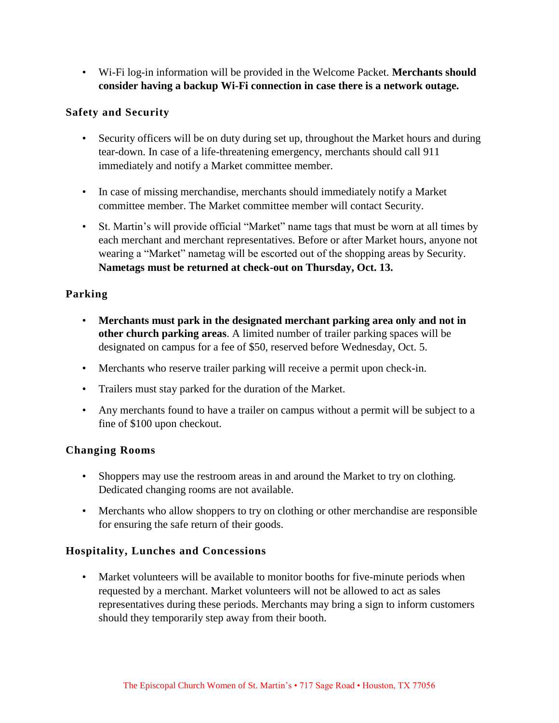• Wi-Fi log-in information will be provided in the Welcome Packet. **Merchants should consider having a backup Wi-Fi connection in case there is a network outage.**

#### **Safety and Security**

- Security officers will be on duty during set up, throughout the Market hours and during tear-down. In case of a life-threatening emergency, merchants should call 911 immediately and notify a Market committee member.
- In case of missing merchandise, merchants should immediately notify a Market committee member. The Market committee member will contact Security.
- St. Martin's will provide official "Market" name tags that must be worn at all times by each merchant and merchant representatives. Before or after Market hours, anyone not wearing a "Market" nametag will be escorted out of the shopping areas by Security. **Nametags must be returned at check-out on Thursday, Oct. 13.**

## **Parking**

- **Merchants must park in the designated merchant parking area only and not in other church parking areas**. A limited number of trailer parking spaces will be designated on campus for a fee of \$50, reserved before Wednesday, Oct. 5.
- Merchants who reserve trailer parking will receive a permit upon check-in.
- Trailers must stay parked for the duration of the Market.
- Any merchants found to have a trailer on campus without a permit will be subject to a fine of \$100 upon checkout.

#### **Changing Rooms**

- Shoppers may use the restroom areas in and around the Market to try on clothing. Dedicated changing rooms are not available.
- Merchants who allow shoppers to try on clothing or other merchandise are responsible for ensuring the safe return of their goods.

#### **Hospitality, Lunches and Concessions**

• Market volunteers will be available to monitor booths for five-minute periods when requested by a merchant. Market volunteers will not be allowed to act as sales representatives during these periods. Merchants may bring a sign to inform customers should they temporarily step away from their booth.